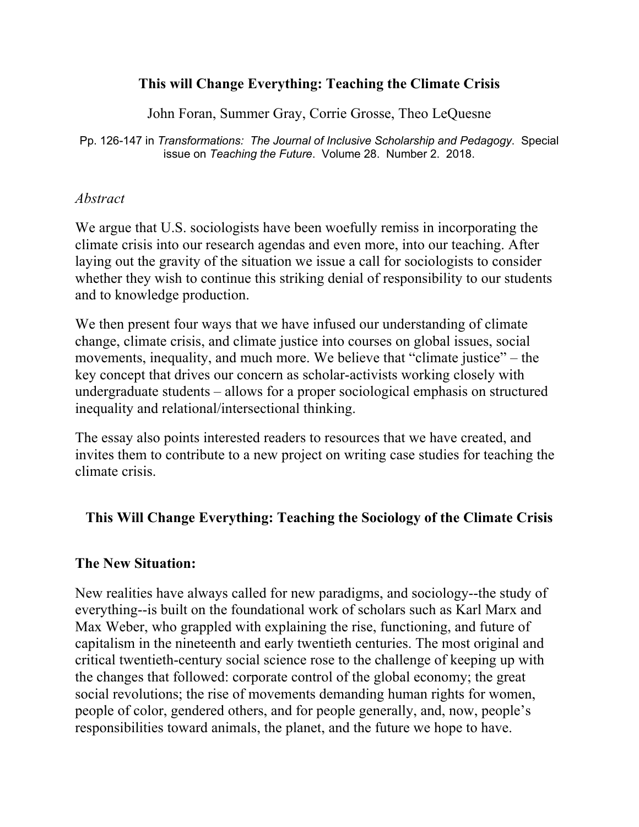# **This will Change Everything: Teaching the Climate Crisis**

John Foran, Summer Gray, Corrie Grosse, Theo LeQuesne

Pp. 126-147 in *Transformations: The Journal of Inclusive Scholarship and Pedagogy*. Special issue on *Teaching the Future*. Volume 28. Number 2. 2018.

## *Abstract*

We argue that U.S. sociologists have been woefully remiss in incorporating the climate crisis into our research agendas and even more, into our teaching. After laying out the gravity of the situation we issue a call for sociologists to consider whether they wish to continue this striking denial of responsibility to our students and to knowledge production.

We then present four ways that we have infused our understanding of climate change, climate crisis, and climate justice into courses on global issues, social movements, inequality, and much more. We believe that "climate justice" – the key concept that drives our concern as scholar-activists working closely with undergraduate students – allows for a proper sociological emphasis on structured inequality and relational/intersectional thinking.

The essay also points interested readers to resources that we have created, and invites them to contribute to a new project on writing case studies for teaching the climate crisis.

# **This Will Change Everything: Teaching the Sociology of the Climate Crisis**

## **The New Situation:**

New realities have always called for new paradigms, and sociology--the study of everything--is built on the foundational work of scholars such as Karl Marx and Max Weber, who grappled with explaining the rise, functioning, and future of capitalism in the nineteenth and early twentieth centuries. The most original and critical twentieth-century social science rose to the challenge of keeping up with the changes that followed: corporate control of the global economy; the great social revolutions; the rise of movements demanding human rights for women, people of color, gendered others, and for people generally, and, now, people's responsibilities toward animals, the planet, and the future we hope to have.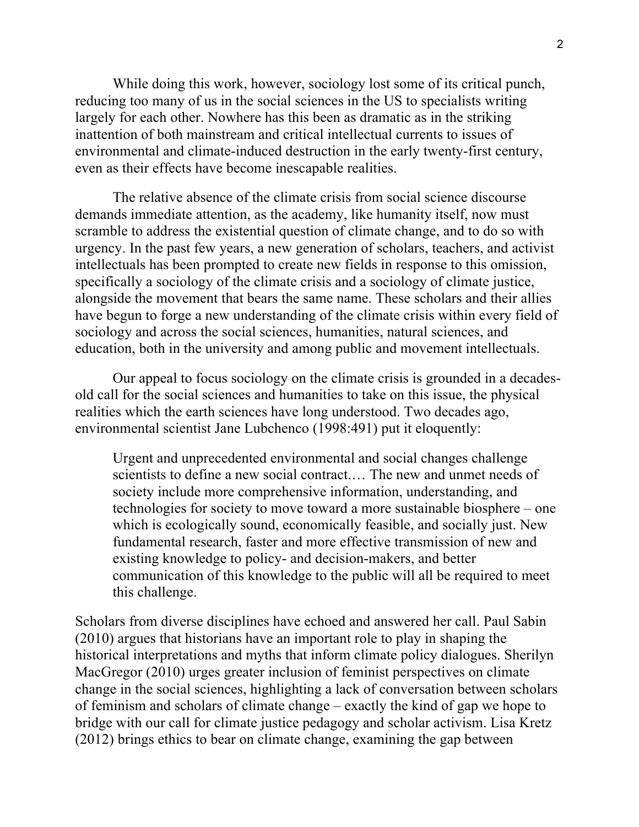While doing this work, however, sociology lost some of its critical punch, reducing too many of us in the social sciences in the US to specialists writing largely for each other. Nowhere has this been as dramatic as in the striking inattention of both mainstream and critical intellectual currents to issues of environmental and climate-induced destruction in the early twenty-first century, even as their effects have become inescapable realities.

The relative absence of the climate crisis from social science discourse demands immediate attention, as the academy, like humanity itself, now must scramble to address the existential question of climate change, and to do so with urgency. In the past few years, a new generation of scholars, teachers, and activist intellectuals has been prompted to create new fields in response to this omission, specifically a sociology of the climate crisis and a sociology of climate justice, alongside the movement that bears the same name. These scholars and their allies have begun to forge a new understanding of the climate crisis within every field of sociology and across the social sciences, humanities, natural sciences, and education, both in the university and among public and movement intellectuals.

Our appeal to focus sociology on the climate crisis is grounded in a decadesold call for the social sciences and humanities to take on this issue, the physical realities which the earth sciences have long understood. Two decades ago, environmental scientist Jane Lubchenco (1998:491) put it eloquently:

Urgent and unprecedented environmental and social changes challenge scientists to define a new social contract.… The new and unmet needs of society include more comprehensive information, understanding, and technologies for society to move toward a more sustainable biosphere – one which is ecologically sound, economically feasible, and socially just. New fundamental research, faster and more effective transmission of new and existing knowledge to policy- and decision-makers, and better communication of this knowledge to the public will all be required to meet this challenge.

Scholars from diverse disciplines have echoed and answered her call. Paul Sabin (2010) argues that historians have an important role to play in shaping the historical interpretations and myths that inform climate policy dialogues. Sherilyn MacGregor (2010) urges greater inclusion of feminist perspectives on climate change in the social sciences, highlighting a lack of conversation between scholars of feminism and scholars of climate change – exactly the kind of gap we hope to bridge with our call for climate justice pedagogy and scholar activism. Lisa Kretz (2012) brings ethics to bear on climate change, examining the gap between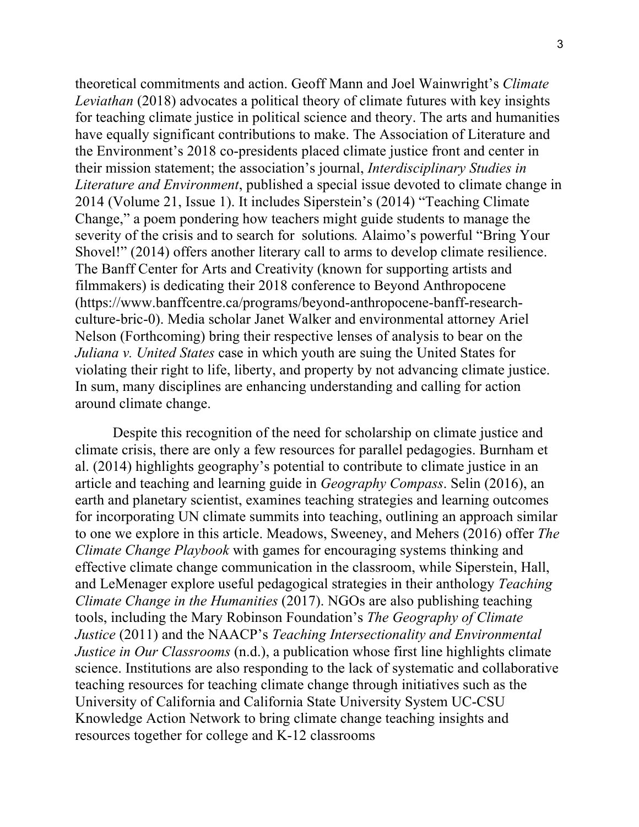theoretical commitments and action. Geoff Mann and Joel Wainwright's *Climate Leviathan* (2018) advocates a political theory of climate futures with key insights for teaching climate justice in political science and theory. The arts and humanities have equally significant contributions to make. The Association of Literature and the Environment's 2018 co-presidents placed climate justice front and center in their mission statement; the association's journal, *Interdisciplinary Studies in Literature and Environment*, published a special issue devoted to climate change in 2014 (Volume 21, Issue 1). It includes Siperstein's (2014) "Teaching Climate Change," a poem pondering how teachers might guide students to manage the severity of the crisis and to search for solutions*.* Alaimo's powerful "Bring Your Shovel!" (2014) offers another literary call to arms to develop climate resilience. The Banff Center for Arts and Creativity (known for supporting artists and filmmakers) is dedicating their 2018 conference to Beyond Anthropocene (https://www.banffcentre.ca/programs/beyond-anthropocene-banff-researchculture-bric-0). Media scholar Janet Walker and environmental attorney Ariel Nelson (Forthcoming) bring their respective lenses of analysis to bear on the *Juliana v. United States* case in which youth are suing the United States for violating their right to life, liberty, and property by not advancing climate justice. In sum, many disciplines are enhancing understanding and calling for action around climate change.

Despite this recognition of the need for scholarship on climate justice and climate crisis, there are only a few resources for parallel pedagogies. Burnham et al. (2014) highlights geography's potential to contribute to climate justice in an article and teaching and learning guide in *Geography Compass*. Selin (2016), an earth and planetary scientist, examines teaching strategies and learning outcomes for incorporating UN climate summits into teaching, outlining an approach similar to one we explore in this article. Meadows, Sweeney, and Mehers (2016) offer *The Climate Change Playbook* with games for encouraging systems thinking and effective climate change communication in the classroom, while Siperstein, Hall, and LeMenager explore useful pedagogical strategies in their anthology *Teaching Climate Change in the Humanities* (2017). NGOs are also publishing teaching tools, including the Mary Robinson Foundation's *The Geography of Climate Justice* (2011) and the NAACP's *Teaching Intersectionality and Environmental Justice in Our Classrooms* (n.d.), a publication whose first line highlights climate science. Institutions are also responding to the lack of systematic and collaborative teaching resources for teaching climate change through initiatives such as the University of California and California State University System UC-CSU Knowledge Action Network to bring climate change teaching insights and resources together for college and K-12 classrooms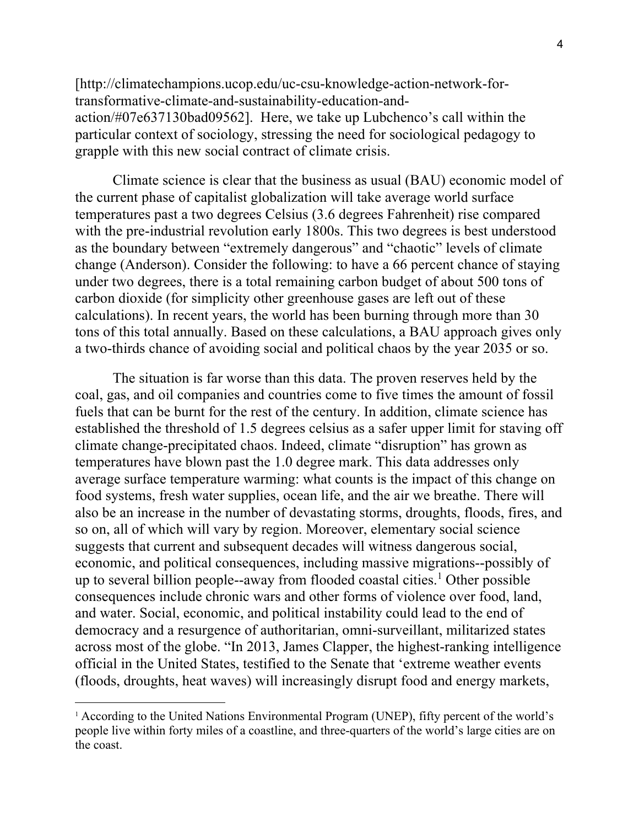[http://climatechampions.ucop.edu/uc-csu-knowledge-action-network-fortransformative-climate-and-sustainability-education-andaction/#07e637130bad09562]. Here, we take up Lubchenco's call within the particular context of sociology, stressing the need for sociological pedagogy to grapple with this new social contract of climate crisis.

Climate science is clear that the business as usual (BAU) economic model of the current phase of capitalist globalization will take average world surface temperatures past a two degrees Celsius (3.6 degrees Fahrenheit) rise compared with the pre-industrial revolution early 1800s. This two degrees is best understood as the boundary between "extremely dangerous" and "chaotic" levels of climate change (Anderson). Consider the following: to have a 66 percent chance of staying under two degrees, there is a total remaining carbon budget of about 500 tons of carbon dioxide (for simplicity other greenhouse gases are left out of these calculations). In recent years, the world has been burning through more than 30 tons of this total annually. Based on these calculations, a BAU approach gives only a two-thirds chance of avoiding social and political chaos by the year 2035 or so.

The situation is far worse than this data. The proven reserves held by the coal, gas, and oil companies and countries come to five times the amount of fossil fuels that can be burnt for the rest of the century. In addition, climate science has established the threshold of 1.5 degrees celsius as a safer upper limit for staving off climate change-precipitated chaos. Indeed, climate "disruption" has grown as temperatures have blown past the 1.0 degree mark. This data addresses only average surface temperature warming: what counts is the impact of this change on food systems, fresh water supplies, ocean life, and the air we breathe. There will also be an increase in the number of devastating storms, droughts, floods, fires, and so on, all of which will vary by region. Moreover, elementary social science suggests that current and subsequent decades will witness dangerous social, economic, and political consequences, including massive migrations--possibly of up to several billion people--away from flooded coastal cities. <sup>1</sup> Other possible consequences include chronic wars and other forms of violence over food, land, and water. Social, economic, and political instability could lead to the end of democracy and a resurgence of authoritarian, omni-surveillant, militarized states across most of the globe. "In 2013, James Clapper, the highest-ranking intelligence official in the United States, testified to the Senate that 'extreme weather events (floods, droughts, heat waves) will increasingly disrupt food and energy markets,

<sup>&</sup>lt;sup>1</sup> According to the United Nations Environmental Program (UNEP), fifty percent of the world's people live within forty miles of a coastline, and three-quarters of the world's large cities are on the coast.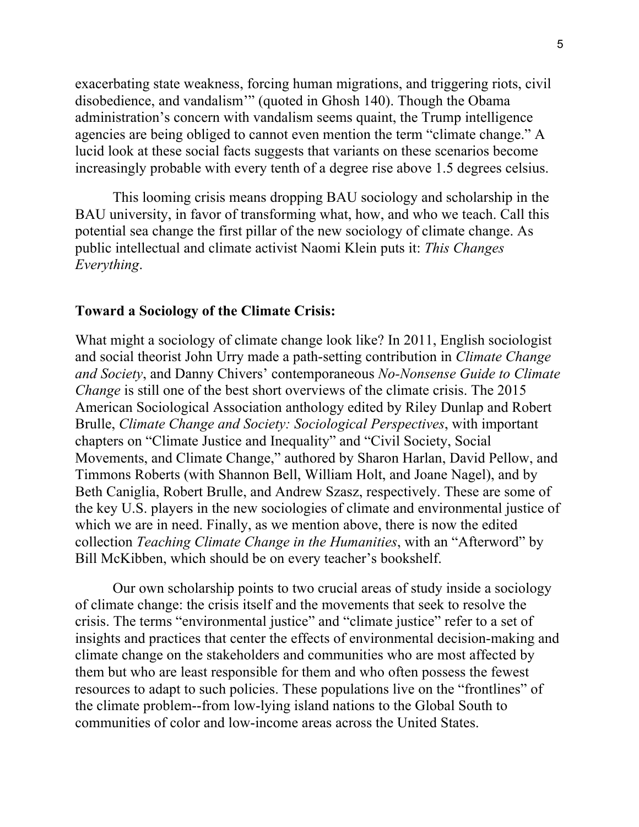exacerbating state weakness, forcing human migrations, and triggering riots, civil disobedience, and vandalism'" (quoted in Ghosh 140). Though the Obama administration's concern with vandalism seems quaint, the Trump intelligence agencies are being obliged to cannot even mention the term "climate change." A lucid look at these social facts suggests that variants on these scenarios become increasingly probable with every tenth of a degree rise above 1.5 degrees celsius.

This looming crisis means dropping BAU sociology and scholarship in the BAU university, in favor of transforming what, how, and who we teach. Call this potential sea change the first pillar of the new sociology of climate change. As public intellectual and climate activist Naomi Klein puts it: *This Changes Everything*.

### **Toward a Sociology of the Climate Crisis:**

What might a sociology of climate change look like? In 2011, English sociologist and social theorist John Urry made a path-setting contribution in *Climate Change and Society*, and Danny Chivers' contemporaneous *No-Nonsense Guide to Climate Change* is still one of the best short overviews of the climate crisis. The 2015 American Sociological Association anthology edited by Riley Dunlap and Robert Brulle, *Climate Change and Society: Sociological Perspectives*, with important chapters on "Climate Justice and Inequality" and "Civil Society, Social Movements, and Climate Change," authored by Sharon Harlan, David Pellow, and Timmons Roberts (with Shannon Bell, William Holt, and Joane Nagel), and by Beth Caniglia, Robert Brulle, and Andrew Szasz, respectively. These are some of the key U.S. players in the new sociologies of climate and environmental justice of which we are in need. Finally, as we mention above, there is now the edited collection *Teaching Climate Change in the Humanities*, with an "Afterword" by Bill McKibben, which should be on every teacher's bookshelf.

Our own scholarship points to two crucial areas of study inside a sociology of climate change: the crisis itself and the movements that seek to resolve the crisis. The terms "environmental justice" and "climate justice" refer to a set of insights and practices that center the effects of environmental decision-making and climate change on the stakeholders and communities who are most affected by them but who are least responsible for them and who often possess the fewest resources to adapt to such policies. These populations live on the "frontlines" of the climate problem--from low-lying island nations to the Global South to communities of color and low-income areas across the United States.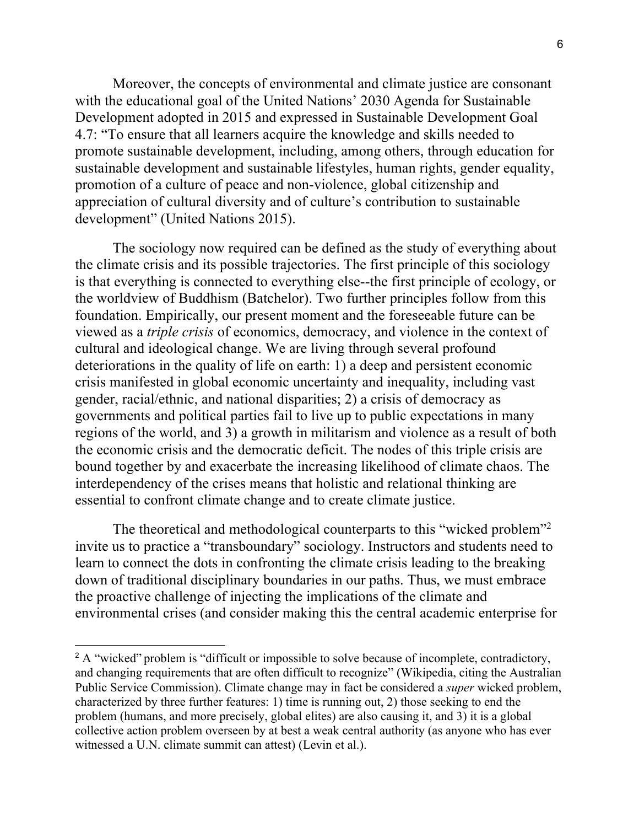Moreover, the concepts of environmental and climate justice are consonant with the educational goal of the United Nations' 2030 Agenda for Sustainable Development adopted in 2015 and expressed in Sustainable Development Goal 4.7: "To ensure that all learners acquire the knowledge and skills needed to promote sustainable development, including, among others, through education for sustainable development and sustainable lifestyles, human rights, gender equality, promotion of a culture of peace and non-violence, global citizenship and appreciation of cultural diversity and of culture's contribution to sustainable development" (United Nations 2015).

The sociology now required can be defined as the study of everything about the climate crisis and its possible trajectories. The first principle of this sociology is that everything is connected to everything else--the first principle of ecology, or the worldview of Buddhism (Batchelor). Two further principles follow from this foundation. Empirically, our present moment and the foreseeable future can be viewed as a *triple crisis* of economics, democracy, and violence in the context of cultural and ideological change. We are living through several profound deteriorations in the quality of life on earth: 1) a deep and persistent economic crisis manifested in global economic uncertainty and inequality, including vast gender, racial/ethnic, and national disparities; 2) a crisis of democracy as governments and political parties fail to live up to public expectations in many regions of the world, and 3) a growth in militarism and violence as a result of both the economic crisis and the democratic deficit. The nodes of this triple crisis are bound together by and exacerbate the increasing likelihood of climate chaos. The interdependency of the crises means that holistic and relational thinking are essential to confront climate change and to create climate justice.

The theoretical and methodological counterparts to this "wicked problem"<sup>2</sup> invite us to practice a "transboundary" sociology. Instructors and students need to learn to connect the dots in confronting the climate crisis leading to the breaking down of traditional disciplinary boundaries in our paths. Thus, we must embrace the proactive challenge of injecting the implications of the climate and environmental crises (and consider making this the central academic enterprise for

<sup>&</sup>lt;sup>2</sup> A "wicked" problem is "difficult or impossible to solve because of incomplete, contradictory, and changing requirements that are often difficult to recognize" (Wikipedia, citing the Australian Public Service Commission). Climate change may in fact be considered a *super* wicked problem, characterized by three further features: 1) time is running out, 2) those seeking to end the problem (humans, and more precisely, global elites) are also causing it, and 3) it is a global collective action problem overseen by at best a weak central authority (as anyone who has ever witnessed a U.N. climate summit can attest) (Levin et al.).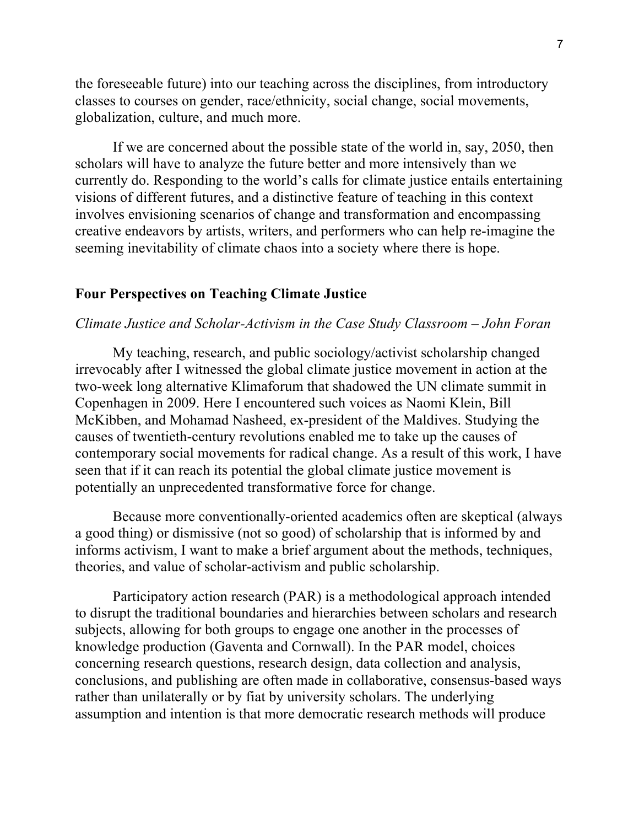the foreseeable future) into our teaching across the disciplines, from introductory classes to courses on gender, race/ethnicity, social change, social movements, globalization, culture, and much more.

If we are concerned about the possible state of the world in, say, 2050, then scholars will have to analyze the future better and more intensively than we currently do. Responding to the world's calls for climate justice entails entertaining visions of different futures, and a distinctive feature of teaching in this context involves envisioning scenarios of change and transformation and encompassing creative endeavors by artists, writers, and performers who can help re-imagine the seeming inevitability of climate chaos into a society where there is hope.

### **Four Perspectives on Teaching Climate Justice**

#### *Climate Justice and Scholar-Activism in the Case Study Classroom – John Foran*

My teaching, research, and public sociology/activist scholarship changed irrevocably after I witnessed the global climate justice movement in action at the two-week long alternative Klimaforum that shadowed the UN climate summit in Copenhagen in 2009. Here I encountered such voices as Naomi Klein, Bill McKibben, and Mohamad Nasheed, ex-president of the Maldives. Studying the causes of twentieth-century revolutions enabled me to take up the causes of contemporary social movements for radical change. As a result of this work, I have seen that if it can reach its potential the global climate justice movement is potentially an unprecedented transformative force for change.

Because more conventionally-oriented academics often are skeptical (always a good thing) or dismissive (not so good) of scholarship that is informed by and informs activism, I want to make a brief argument about the methods, techniques, theories, and value of scholar-activism and public scholarship.

Participatory action research (PAR) is a methodological approach intended to disrupt the traditional boundaries and hierarchies between scholars and research subjects, allowing for both groups to engage one another in the processes of knowledge production (Gaventa and Cornwall). In the PAR model, choices concerning research questions, research design, data collection and analysis, conclusions, and publishing are often made in collaborative, consensus-based ways rather than unilaterally or by fiat by university scholars. The underlying assumption and intention is that more democratic research methods will produce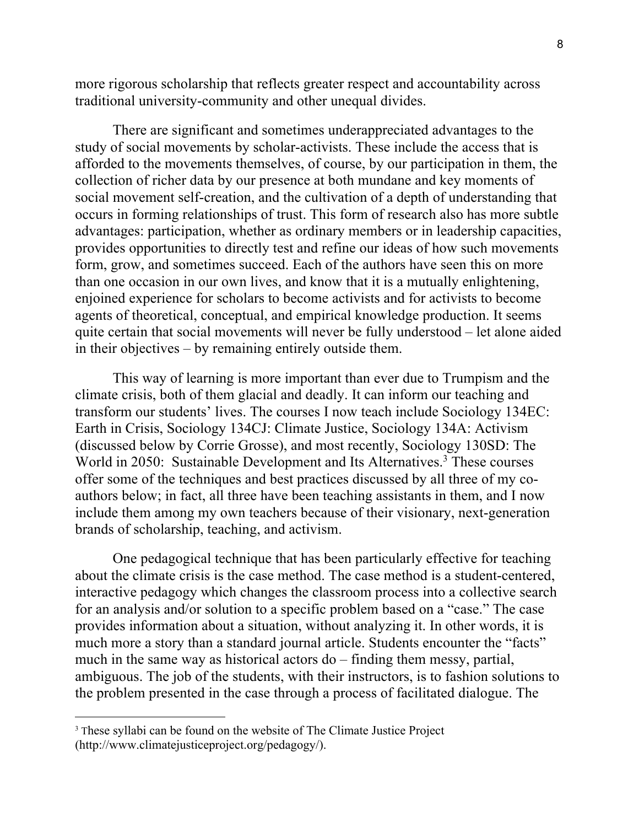more rigorous scholarship that reflects greater respect and accountability across traditional university-community and other unequal divides.

There are significant and sometimes underappreciated advantages to the study of social movements by scholar-activists. These include the access that is afforded to the movements themselves, of course, by our participation in them, the collection of richer data by our presence at both mundane and key moments of social movement self-creation, and the cultivation of a depth of understanding that occurs in forming relationships of trust. This form of research also has more subtle advantages: participation, whether as ordinary members or in leadership capacities, provides opportunities to directly test and refine our ideas of how such movements form, grow, and sometimes succeed. Each of the authors have seen this on more than one occasion in our own lives, and know that it is a mutually enlightening, enjoined experience for scholars to become activists and for activists to become agents of theoretical, conceptual, and empirical knowledge production. It seems quite certain that social movements will never be fully understood – let alone aided in their objectives – by remaining entirely outside them.

This way of learning is more important than ever due to Trumpism and the climate crisis, both of them glacial and deadly. It can inform our teaching and transform our students' lives. The courses I now teach include Sociology 134EC: Earth in Crisis, Sociology 134CJ: Climate Justice, Sociology 134A: Activism (discussed below by Corrie Grosse), and most recently, Sociology 130SD: The World in 2050: Sustainable Development and Its Alternatives.<sup>3</sup> These courses offer some of the techniques and best practices discussed by all three of my coauthors below; in fact, all three have been teaching assistants in them, and I now include them among my own teachers because of their visionary, next-generation brands of scholarship, teaching, and activism.

One pedagogical technique that has been particularly effective for teaching about the climate crisis is the case method. The case method is a student-centered, interactive pedagogy which changes the classroom process into a collective search for an analysis and/or solution to a specific problem based on a "case." The case provides information about a situation, without analyzing it. In other words, it is much more a story than a standard journal article. Students encounter the "facts" much in the same way as historical actors do – finding them messy, partial, ambiguous. The job of the students, with their instructors, is to fashion solutions to the problem presented in the case through a process of facilitated dialogue. The

<sup>&</sup>lt;sup>3</sup> These syllabi can be found on the website of The Climate Justice Project (http://www.climatejusticeproject.org/pedagogy/).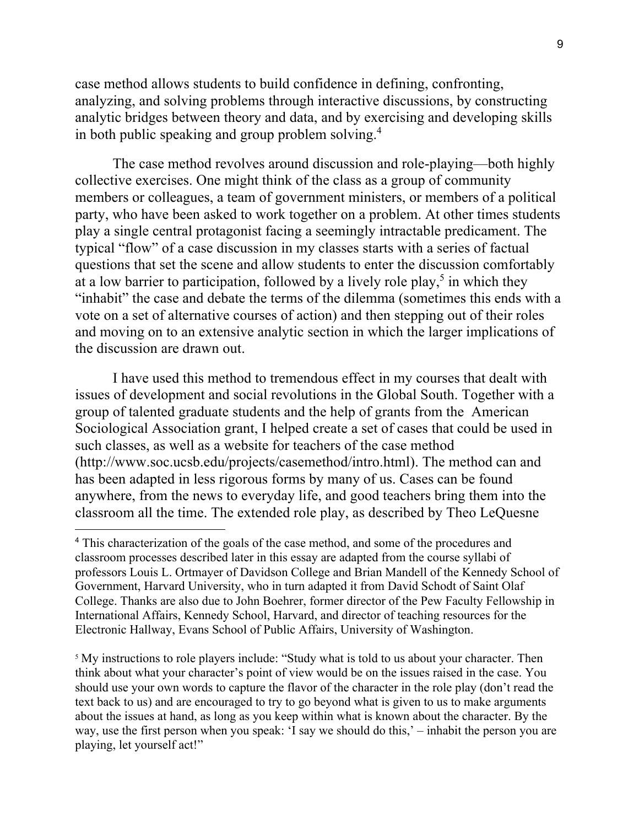case method allows students to build confidence in defining, confronting, analyzing, and solving problems through interactive discussions, by constructing analytic bridges between theory and data, and by exercising and developing skills in both public speaking and group problem solving. 4

The case method revolves around discussion and role-playing—both highly collective exercises. One might think of the class as a group of community members or colleagues, a team of government ministers, or members of a political party, who have been asked to work together on a problem. At other times students play a single central protagonist facing a seemingly intractable predicament. The typical "flow" of a case discussion in my classes starts with a series of factual questions that set the scene and allow students to enter the discussion comfortably at a low barrier to participation, followed by a lively role play,<sup>5</sup> in which they "inhabit" the case and debate the terms of the dilemma (sometimes this ends with a vote on a set of alternative courses of action) and then stepping out of their roles and moving on to an extensive analytic section in which the larger implications of the discussion are drawn out.

I have used this method to tremendous effect in my courses that dealt with issues of development and social revolutions in the Global South. Together with a group of talented graduate students and the help of grants from the American Sociological Association grant, I helped create a set of cases that could be used in such classes, as well as a website for teachers of the case method (http://www.soc.ucsb.edu/projects/casemethod/intro.html). The method can and has been adapted in less rigorous forms by many of us. Cases can be found anywhere, from the news to everyday life, and good teachers bring them into the classroom all the time. The extended role play, as described by Theo LeQuesne

<sup>5</sup> My instructions to role players include: "Study what is told to us about your character. Then think about what your character's point of view would be on the issues raised in the case. You should use your own words to capture the flavor of the character in the role play (don't read the text back to us) and are encouraged to try to go beyond what is given to us to make arguments about the issues at hand, as long as you keep within what is known about the character. By the way, use the first person when you speak: 'I say we should do this,' – inhabit the person you are playing, let yourself act!"

<sup>&</sup>lt;sup>4</sup> This characterization of the goals of the case method, and some of the procedures and classroom processes described later in this essay are adapted from the course syllabi of professors Louis L. Ortmayer of Davidson College and Brian Mandell of the Kennedy School of Government, Harvard University, who in turn adapted it from David Schodt of Saint Olaf College. Thanks are also due to John Boehrer, former director of the Pew Faculty Fellowship in International Affairs, Kennedy School, Harvard, and director of teaching resources for the Electronic Hallway, Evans School of Public Affairs, University of Washington.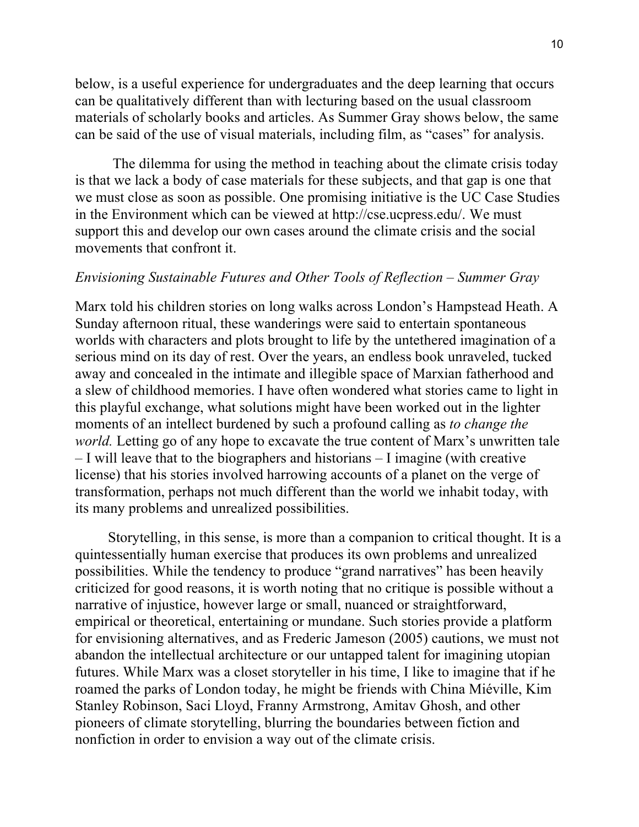below, is a useful experience for undergraduates and the deep learning that occurs can be qualitatively different than with lecturing based on the usual classroom materials of scholarly books and articles. As Summer Gray shows below, the same can be said of the use of visual materials, including film, as "cases" for analysis.

The dilemma for using the method in teaching about the climate crisis today is that we lack a body of case materials for these subjects, and that gap is one that we must close as soon as possible. One promising initiative is the UC Case Studies in the Environment which can be viewed at http://cse.ucpress.edu/. We must support this and develop our own cases around the climate crisis and the social movements that confront it.

#### *Envisioning Sustainable Futures and Other Tools of Reflection – Summer Gray*

Marx told his children stories on long walks across London's Hampstead Heath. A Sunday afternoon ritual, these wanderings were said to entertain spontaneous worlds with characters and plots brought to life by the untethered imagination of a serious mind on its day of rest. Over the years, an endless book unraveled, tucked away and concealed in the intimate and illegible space of Marxian fatherhood and a slew of childhood memories. I have often wondered what stories came to light in this playful exchange, what solutions might have been worked out in the lighter moments of an intellect burdened by such a profound calling as *to change the world.* Letting go of any hope to excavate the true content of Marx's unwritten tale – I will leave that to the biographers and historians – I imagine (with creative license) that his stories involved harrowing accounts of a planet on the verge of transformation, perhaps not much different than the world we inhabit today, with its many problems and unrealized possibilities.

Storytelling, in this sense, is more than a companion to critical thought. It is a quintessentially human exercise that produces its own problems and unrealized possibilities. While the tendency to produce "grand narratives" has been heavily criticized for good reasons, it is worth noting that no critique is possible without a narrative of injustice, however large or small, nuanced or straightforward, empirical or theoretical, entertaining or mundane. Such stories provide a platform for envisioning alternatives, and as Frederic Jameson (2005) cautions, we must not abandon the intellectual architecture or our untapped talent for imagining utopian futures. While Marx was a closet storyteller in his time, I like to imagine that if he roamed the parks of London today, he might be friends with China Miéville, Kim Stanley Robinson, Saci Lloyd, Franny Armstrong, Amitav Ghosh, and other pioneers of climate storytelling, blurring the boundaries between fiction and nonfiction in order to envision a way out of the climate crisis.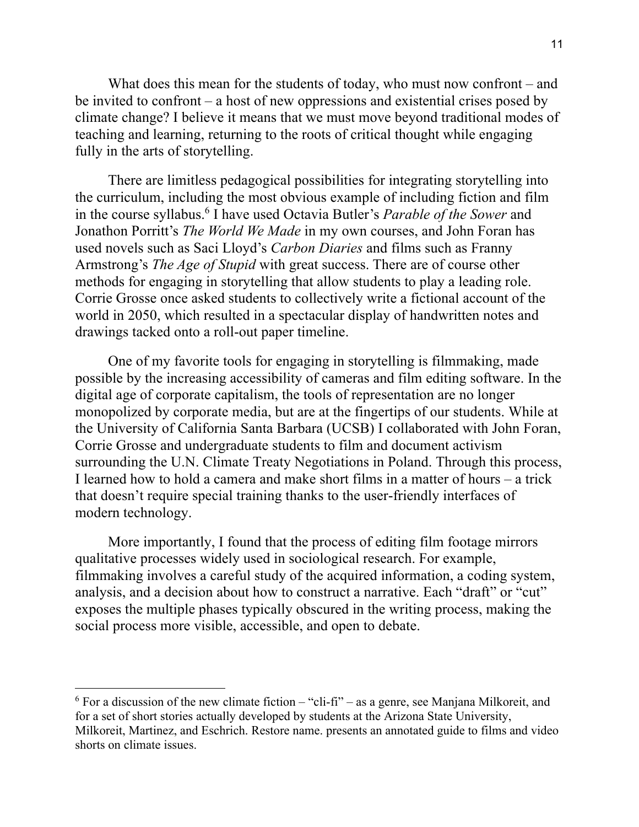What does this mean for the students of today, who must now confront – and be invited to confront – a host of new oppressions and existential crises posed by climate change? I believe it means that we must move beyond traditional modes of teaching and learning, returning to the roots of critical thought while engaging fully in the arts of storytelling.

There are limitless pedagogical possibilities for integrating storytelling into the curriculum, including the most obvious example of including fiction and film in the course syllabus.6 I have used Octavia Butler's *Parable of the Sower* and Jonathon Porritt's *The World We Made* in my own courses, and John Foran has used novels such as Saci Lloyd's *Carbon Diaries* and films such as Franny Armstrong's *The Age of Stupid* with great success. There are of course other methods for engaging in storytelling that allow students to play a leading role. Corrie Grosse once asked students to collectively write a fictional account of the world in 2050, which resulted in a spectacular display of handwritten notes and drawings tacked onto a roll-out paper timeline.

One of my favorite tools for engaging in storytelling is filmmaking, made possible by the increasing accessibility of cameras and film editing software. In the digital age of corporate capitalism, the tools of representation are no longer monopolized by corporate media, but are at the fingertips of our students. While at the University of California Santa Barbara (UCSB) I collaborated with John Foran, Corrie Grosse and undergraduate students to film and document activism surrounding the U.N. Climate Treaty Negotiations in Poland. Through this process, I learned how to hold a camera and make short films in a matter of hours – a trick that doesn't require special training thanks to the user-friendly interfaces of modern technology.

More importantly, I found that the process of editing film footage mirrors qualitative processes widely used in sociological research. For example, filmmaking involves a careful study of the acquired information, a coding system, analysis, and a decision about how to construct a narrative. Each "draft" or "cut" exposes the multiple phases typically obscured in the writing process, making the social process more visible, accessible, and open to debate.

 $6$  For a discussion of the new climate fiction – "cli-fi" – as a genre, see Manjana Milkoreit, and for a set of short stories actually developed by students at the Arizona State University, Milkoreit, Martinez, and Eschrich. Restore name. presents an annotated guide to films and video shorts on climate issues.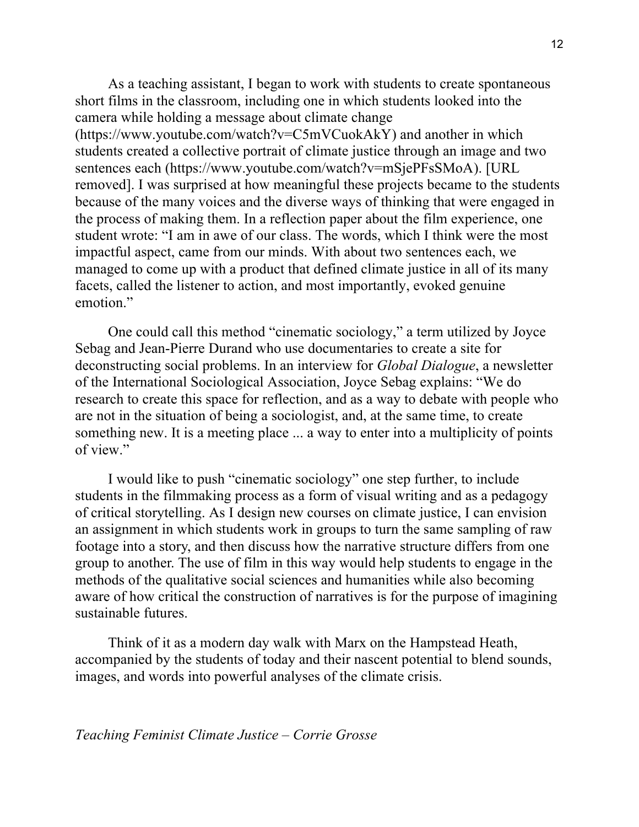As a teaching assistant, I began to work with students to create spontaneous short films in the classroom, including one in which students looked into the camera while holding a message about climate change (https://www.youtube.com/watch?v=C5mVCuokAkY) and another in which students created a collective portrait of climate justice through an image and two sentences each (https://www.youtube.com/watch?v=mSjePFsSMoA). [URL removed]. I was surprised at how meaningful these projects became to the students because of the many voices and the diverse ways of thinking that were engaged in the process of making them. In a reflection paper about the film experience, one student wrote: "I am in awe of our class. The words, which I think were the most impactful aspect, came from our minds. With about two sentences each, we managed to come up with a product that defined climate justice in all of its many facets, called the listener to action, and most importantly, evoked genuine emotion."

One could call this method "cinematic sociology," a term utilized by Joyce Sebag and Jean-Pierre Durand who use documentaries to create a site for deconstructing social problems. In an interview for *Global Dialogue*, a newsletter of the International Sociological Association, Joyce Sebag explains: "We do research to create this space for reflection, and as a way to debate with people who are not in the situation of being a sociologist, and, at the same time, to create something new. It is a meeting place ... a way to enter into a multiplicity of points of view."

I would like to push "cinematic sociology" one step further, to include students in the filmmaking process as a form of visual writing and as a pedagogy of critical storytelling. As I design new courses on climate justice, I can envision an assignment in which students work in groups to turn the same sampling of raw footage into a story, and then discuss how the narrative structure differs from one group to another. The use of film in this way would help students to engage in the methods of the qualitative social sciences and humanities while also becoming aware of how critical the construction of narratives is for the purpose of imagining sustainable futures.

Think of it as a modern day walk with Marx on the Hampstead Heath, accompanied by the students of today and their nascent potential to blend sounds, images, and words into powerful analyses of the climate crisis.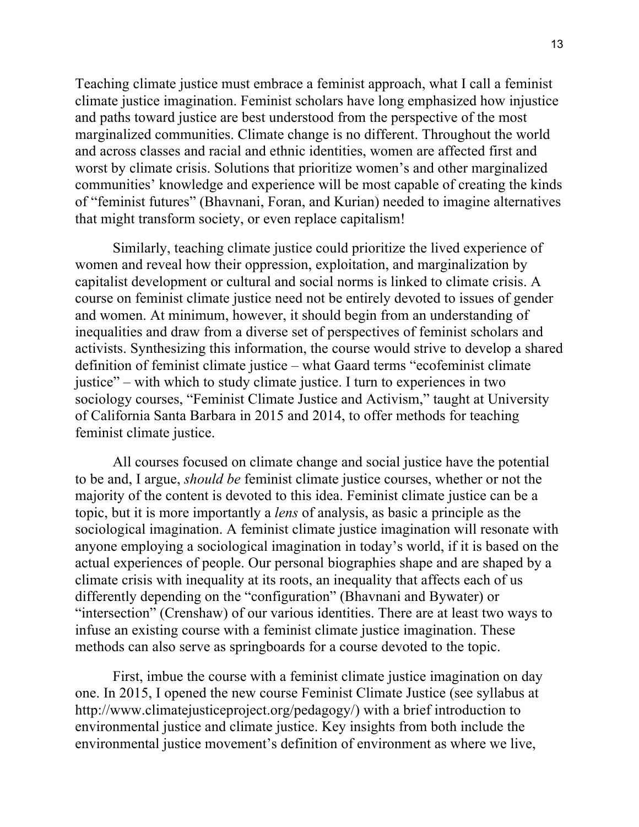Teaching climate justice must embrace a feminist approach, what I call a feminist climate justice imagination. Feminist scholars have long emphasized how injustice and paths toward justice are best understood from the perspective of the most marginalized communities. Climate change is no different. Throughout the world and across classes and racial and ethnic identities, women are affected first and worst by climate crisis. Solutions that prioritize women's and other marginalized communities' knowledge and experience will be most capable of creating the kinds of "feminist futures" (Bhavnani, Foran, and Kurian) needed to imagine alternatives that might transform society, or even replace capitalism!

Similarly, teaching climate justice could prioritize the lived experience of women and reveal how their oppression, exploitation, and marginalization by capitalist development or cultural and social norms is linked to climate crisis. A course on feminist climate justice need not be entirely devoted to issues of gender and women. At minimum, however, it should begin from an understanding of inequalities and draw from a diverse set of perspectives of feminist scholars and activists. Synthesizing this information, the course would strive to develop a shared definition of feminist climate justice – what Gaard terms "ecofeminist climate justice" – with which to study climate justice. I turn to experiences in two sociology courses, "Feminist Climate Justice and Activism," taught at University of California Santa Barbara in 2015 and 2014, to offer methods for teaching feminist climate justice.

All courses focused on climate change and social justice have the potential to be and, I argue, *should be* feminist climate justice courses, whether or not the majority of the content is devoted to this idea. Feminist climate justice can be a topic, but it is more importantly a *lens* of analysis, as basic a principle as the sociological imagination. A feminist climate justice imagination will resonate with anyone employing a sociological imagination in today's world, if it is based on the actual experiences of people. Our personal biographies shape and are shaped by a climate crisis with inequality at its roots, an inequality that affects each of us differently depending on the "configuration" (Bhavnani and Bywater) or "intersection" (Crenshaw) of our various identities. There are at least two ways to infuse an existing course with a feminist climate justice imagination. These methods can also serve as springboards for a course devoted to the topic.

First, imbue the course with a feminist climate justice imagination on day one. In 2015, I opened the new course Feminist Climate Justice (see syllabus at http://www.climatejusticeproject.org/pedagogy/) with a brief introduction to environmental justice and climate justice. Key insights from both include the environmental justice movement's definition of environment as where we live,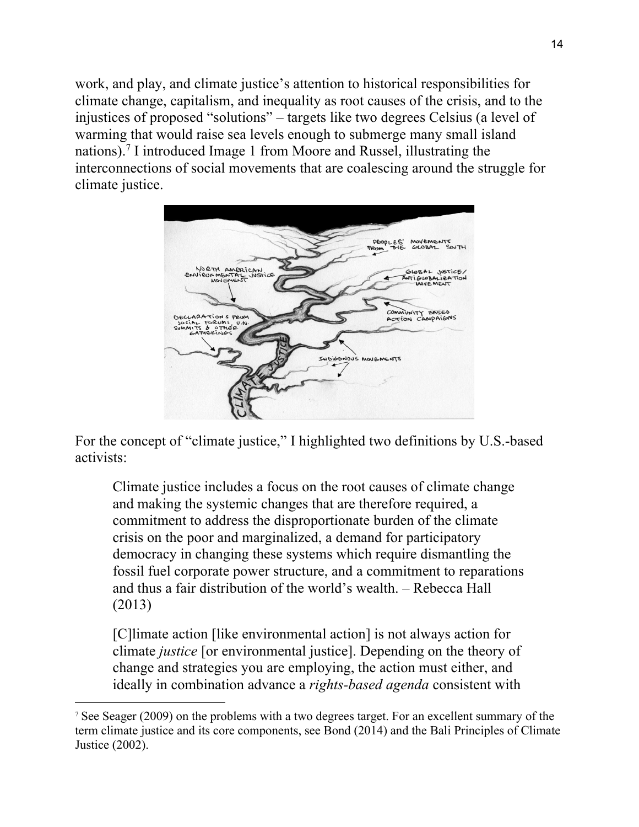work, and play, and climate justice's attention to historical responsibilities for climate change, capitalism, and inequality as root causes of the crisis, and to the injustices of proposed "solutions" – targets like two degrees Celsius (a level of warming that would raise sea levels enough to submerge many small island nations).7 I introduced Image 1 from Moore and Russel, illustrating the interconnections of social movements that are coalescing around the struggle for climate justice.



For the concept of "climate justice," I highlighted two definitions by U.S.-based activists:

Climate justice includes a focus on the root causes of climate change and making the systemic changes that are therefore required, a commitment to address the disproportionate burden of the climate crisis on the poor and marginalized, a demand for participatory democracy in changing these systems which require dismantling the fossil fuel corporate power structure, and a commitment to reparations and thus a fair distribution of the world's wealth. *–* Rebecca Hall (2013)

[C]limate action [like environmental action] is not always action for climate *justice* [or environmental justice]. Depending on the theory of change and strategies you are employing, the action must either, and ideally in combination advance a *rights-based agenda* consistent with

<sup>7</sup> See Seager (2009) on the problems with a two degrees target. For an excellent summary of the term climate justice and its core components, see Bond (2014) and the Bali Principles of Climate Justice (2002).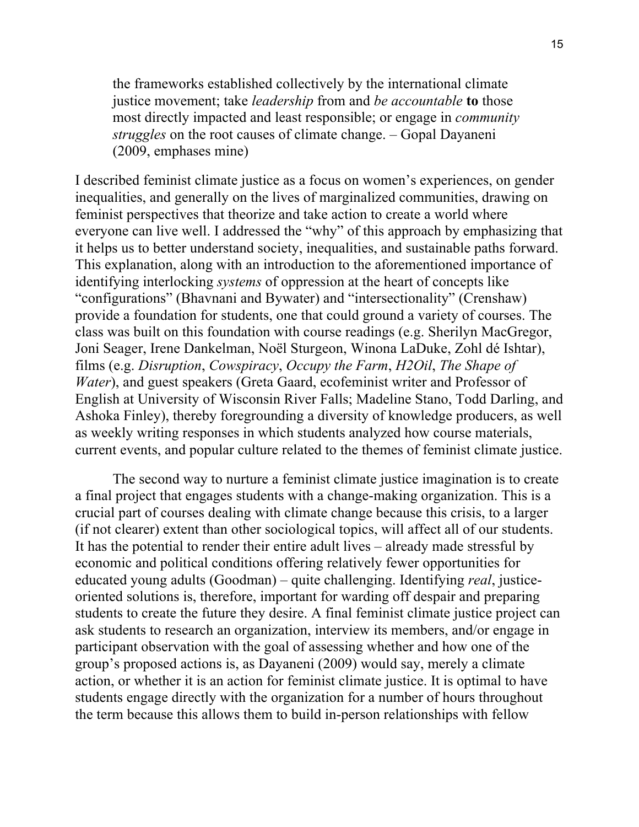the frameworks established collectively by the international climate justice movement; take *leadership* from and *be accountable* **to** those most directly impacted and least responsible; or engage in *community struggles* on the root causes of climate change. – Gopal Dayaneni (2009, emphases mine)

I described feminist climate justice as a focus on women's experiences, on gender inequalities, and generally on the lives of marginalized communities, drawing on feminist perspectives that theorize and take action to create a world where everyone can live well. I addressed the "why" of this approach by emphasizing that it helps us to better understand society, inequalities, and sustainable paths forward. This explanation, along with an introduction to the aforementioned importance of identifying interlocking *systems* of oppression at the heart of concepts like "configurations" (Bhavnani and Bywater) and "intersectionality" (Crenshaw) provide a foundation for students, one that could ground a variety of courses. The class was built on this foundation with course readings (e.g. Sherilyn MacGregor, Joni Seager, Irene Dankelman, Noël Sturgeon, Winona LaDuke, Zohl dé Ishtar), films (e.g. *Disruption*, *Cowspiracy*, *Occupy the Farm*, *H2Oil*, *The Shape of Water*), and guest speakers (Greta Gaard, ecofeminist writer and Professor of English at University of Wisconsin River Falls; Madeline Stano, Todd Darling, and Ashoka Finley), thereby foregrounding a diversity of knowledge producers, as well as weekly writing responses in which students analyzed how course materials, current events, and popular culture related to the themes of feminist climate justice.

The second way to nurture a feminist climate justice imagination is to create a final project that engages students with a change-making organization. This is a crucial part of courses dealing with climate change because this crisis, to a larger (if not clearer) extent than other sociological topics, will affect all of our students. It has the potential to render their entire adult lives – already made stressful by economic and political conditions offering relatively fewer opportunities for educated young adults (Goodman) – quite challenging. Identifying *real*, justiceoriented solutions is, therefore, important for warding off despair and preparing students to create the future they desire. A final feminist climate justice project can ask students to research an organization, interview its members, and/or engage in participant observation with the goal of assessing whether and how one of the group's proposed actions is, as Dayaneni (2009) would say, merely a climate action, or whether it is an action for feminist climate justice. It is optimal to have students engage directly with the organization for a number of hours throughout the term because this allows them to build in-person relationships with fellow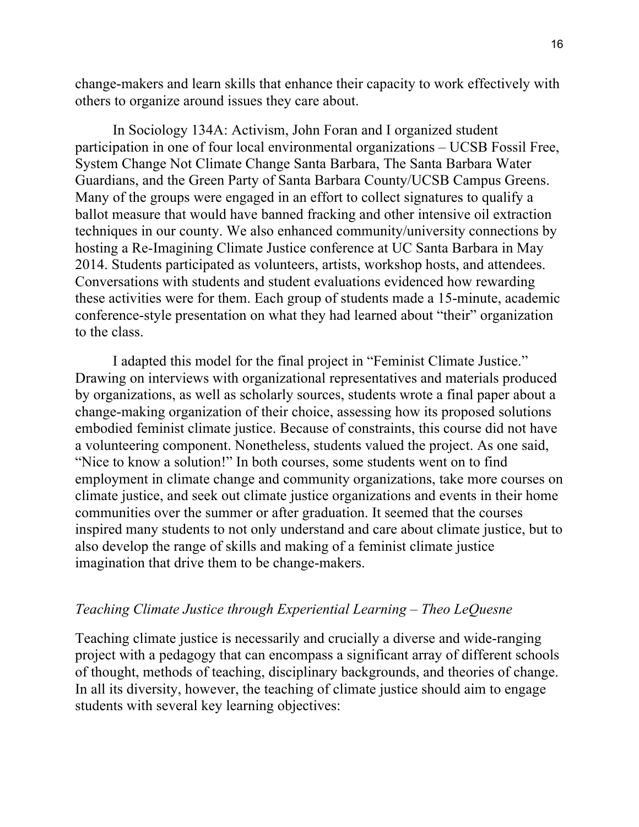change-makers and learn skills that enhance their capacity to work effectively with others to organize around issues they care about.

In Sociology 134A: Activism, John Foran and I organized student participation in one of four local environmental organizations – UCSB Fossil Free, System Change Not Climate Change Santa Barbara, The Santa Barbara Water Guardians, and the Green Party of Santa Barbara County/UCSB Campus Greens. Many of the groups were engaged in an effort to collect signatures to qualify a ballot measure that would have banned fracking and other intensive oil extraction techniques in our county. We also enhanced community/university connections by hosting a Re-Imagining Climate Justice conference at UC Santa Barbara in May 2014. Students participated as volunteers, artists, workshop hosts, and attendees. Conversations with students and student evaluations evidenced how rewarding these activities were for them. Each group of students made a 15-minute, academic conference-style presentation on what they had learned about "their" organization to the class.

I adapted this model for the final project in "Feminist Climate Justice." Drawing on interviews with organizational representatives and materials produced by organizations, as well as scholarly sources, students wrote a final paper about a change-making organization of their choice, assessing how its proposed solutions embodied feminist climate justice. Because of constraints, this course did not have a volunteering component. Nonetheless, students valued the project. As one said, "Nice to know a solution!" In both courses, some students went on to find employment in climate change and community organizations, take more courses on climate justice, and seek out climate justice organizations and events in their home communities over the summer or after graduation. It seemed that the courses inspired many students to not only understand and care about climate justice, but to also develop the range of skills and making of a feminist climate justice imagination that drive them to be change-makers.

### *Teaching Climate Justice through Experiential Learning – Theo LeQuesne*

Teaching climate justice is necessarily and crucially a diverse and wide-ranging project with a pedagogy that can encompass a significant array of different schools of thought, methods of teaching, disciplinary backgrounds, and theories of change. In all its diversity, however, the teaching of climate justice should aim to engage students with several key learning objectives: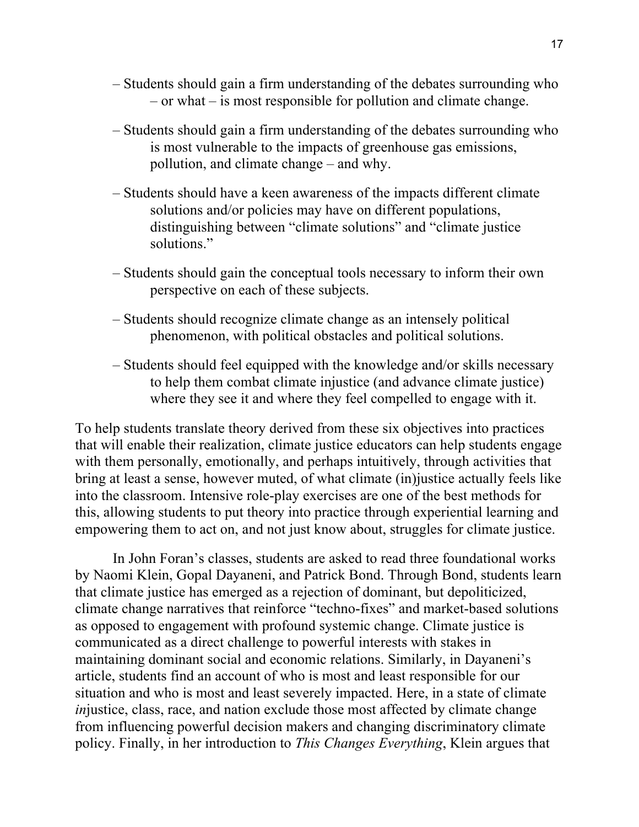- Students should gain a firm understanding of the debates surrounding who – or what – is most responsible for pollution and climate change.
- Students should gain a firm understanding of the debates surrounding who is most vulnerable to the impacts of greenhouse gas emissions, pollution, and climate change – and why.
- Students should have a keen awareness of the impacts different climate solutions and/or policies may have on different populations, distinguishing between "climate solutions" and "climate justice solutions."
- Students should gain the conceptual tools necessary to inform their own perspective on each of these subjects.
- Students should recognize climate change as an intensely political phenomenon, with political obstacles and political solutions.
- Students should feel equipped with the knowledge and/or skills necessary to help them combat climate injustice (and advance climate justice) where they see it and where they feel compelled to engage with it.

To help students translate theory derived from these six objectives into practices that will enable their realization, climate justice educators can help students engage with them personally, emotionally, and perhaps intuitively, through activities that bring at least a sense, however muted, of what climate (in)justice actually feels like into the classroom. Intensive role-play exercises are one of the best methods for this, allowing students to put theory into practice through experiential learning and empowering them to act on, and not just know about, struggles for climate justice.

In John Foran's classes, students are asked to read three foundational works by Naomi Klein, Gopal Dayaneni, and Patrick Bond. Through Bond, students learn that climate justice has emerged as a rejection of dominant, but depoliticized, climate change narratives that reinforce "techno-fixes" and market-based solutions as opposed to engagement with profound systemic change. Climate justice is communicated as a direct challenge to powerful interests with stakes in maintaining dominant social and economic relations. Similarly, in Dayaneni's article, students find an account of who is most and least responsible for our situation and who is most and least severely impacted. Here, in a state of climate *in*justice, class, race, and nation exclude those most affected by climate change from influencing powerful decision makers and changing discriminatory climate policy. Finally, in her introduction to *This Changes Everything*, Klein argues that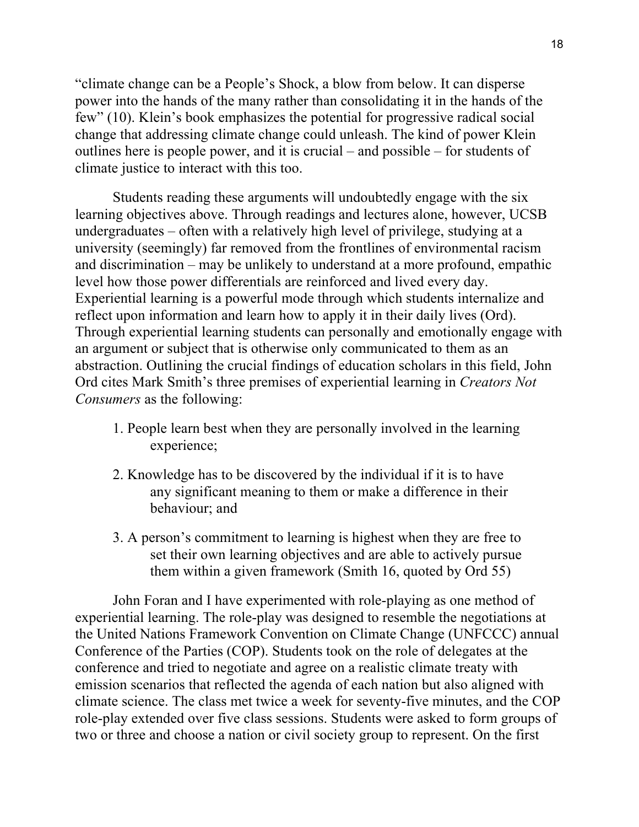"climate change can be a People's Shock, a blow from below. It can disperse power into the hands of the many rather than consolidating it in the hands of the few" (10). Klein's book emphasizes the potential for progressive radical social change that addressing climate change could unleash. The kind of power Klein outlines here is people power, and it is crucial – and possible – for students of climate justice to interact with this too.

Students reading these arguments will undoubtedly engage with the six learning objectives above. Through readings and lectures alone, however, UCSB undergraduates – often with a relatively high level of privilege, studying at a university (seemingly) far removed from the frontlines of environmental racism and discrimination – may be unlikely to understand at a more profound, empathic level how those power differentials are reinforced and lived every day. Experiential learning is a powerful mode through which students internalize and reflect upon information and learn how to apply it in their daily lives (Ord). Through experiential learning students can personally and emotionally engage with an argument or subject that is otherwise only communicated to them as an abstraction. Outlining the crucial findings of education scholars in this field, John Ord cites Mark Smith's three premises of experiential learning in *Creators Not Consumers* as the following:

- 1. People learn best when they are personally involved in the learning experience;
- 2. Knowledge has to be discovered by the individual if it is to have any significant meaning to them or make a difference in their behaviour; and
- 3. A person's commitment to learning is highest when they are free to set their own learning objectives and are able to actively pursue them within a given framework (Smith 16, quoted by Ord 55)

John Foran and I have experimented with role-playing as one method of experiential learning. The role-play was designed to resemble the negotiations at the United Nations Framework Convention on Climate Change (UNFCCC) annual Conference of the Parties (COP). Students took on the role of delegates at the conference and tried to negotiate and agree on a realistic climate treaty with emission scenarios that reflected the agenda of each nation but also aligned with climate science. The class met twice a week for seventy-five minutes, and the COP role-play extended over five class sessions. Students were asked to form groups of two or three and choose a nation or civil society group to represent. On the first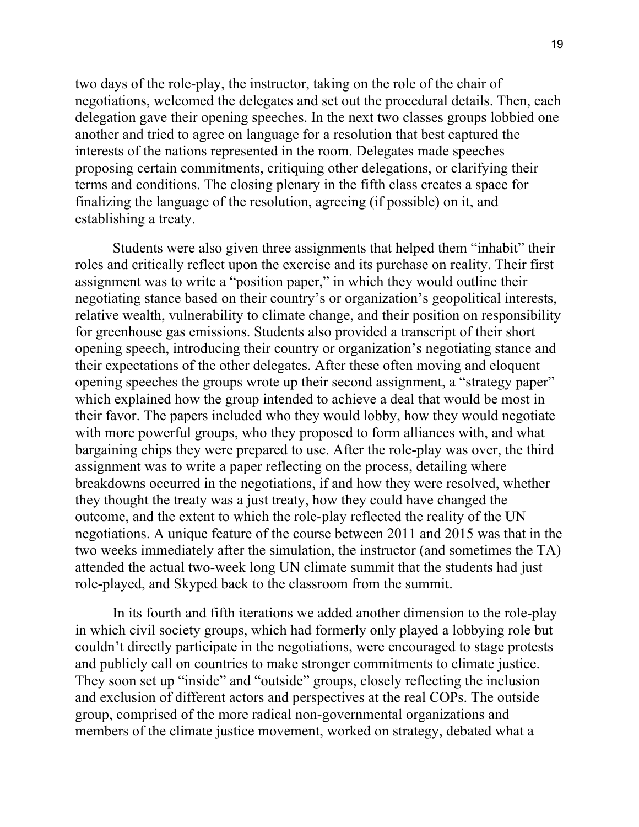two days of the role-play, the instructor, taking on the role of the chair of negotiations, welcomed the delegates and set out the procedural details. Then, each delegation gave their opening speeches. In the next two classes groups lobbied one another and tried to agree on language for a resolution that best captured the interests of the nations represented in the room. Delegates made speeches proposing certain commitments, critiquing other delegations, or clarifying their terms and conditions. The closing plenary in the fifth class creates a space for finalizing the language of the resolution, agreeing (if possible) on it, and establishing a treaty.

Students were also given three assignments that helped them "inhabit" their roles and critically reflect upon the exercise and its purchase on reality. Their first assignment was to write a "position paper," in which they would outline their negotiating stance based on their country's or organization's geopolitical interests, relative wealth, vulnerability to climate change, and their position on responsibility for greenhouse gas emissions. Students also provided a transcript of their short opening speech, introducing their country or organization's negotiating stance and their expectations of the other delegates. After these often moving and eloquent opening speeches the groups wrote up their second assignment, a "strategy paper" which explained how the group intended to achieve a deal that would be most in their favor. The papers included who they would lobby, how they would negotiate with more powerful groups, who they proposed to form alliances with, and what bargaining chips they were prepared to use. After the role-play was over, the third assignment was to write a paper reflecting on the process, detailing where breakdowns occurred in the negotiations, if and how they were resolved, whether they thought the treaty was a just treaty, how they could have changed the outcome, and the extent to which the role-play reflected the reality of the UN negotiations. A unique feature of the course between 2011 and 2015 was that in the two weeks immediately after the simulation, the instructor (and sometimes the TA) attended the actual two-week long UN climate summit that the students had just role-played, and Skyped back to the classroom from the summit.

In its fourth and fifth iterations we added another dimension to the role-play in which civil society groups, which had formerly only played a lobbying role but couldn't directly participate in the negotiations, were encouraged to stage protests and publicly call on countries to make stronger commitments to climate justice. They soon set up "inside" and "outside" groups, closely reflecting the inclusion and exclusion of different actors and perspectives at the real COPs. The outside group, comprised of the more radical non-governmental organizations and members of the climate justice movement, worked on strategy, debated what a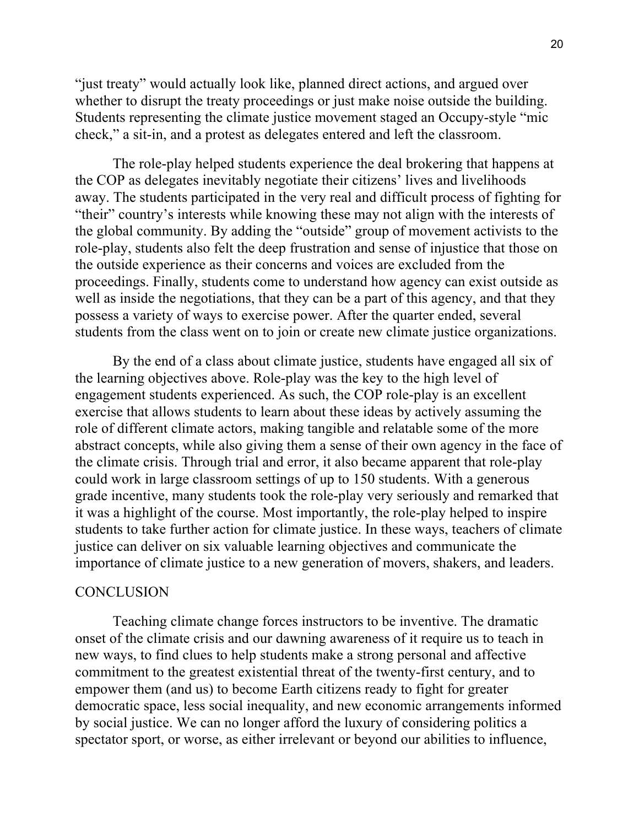"just treaty" would actually look like, planned direct actions, and argued over whether to disrupt the treaty proceedings or just make noise outside the building. Students representing the climate justice movement staged an Occupy-style "mic check," a sit-in, and a protest as delegates entered and left the classroom.

The role-play helped students experience the deal brokering that happens at the COP as delegates inevitably negotiate their citizens' lives and livelihoods away. The students participated in the very real and difficult process of fighting for "their" country's interests while knowing these may not align with the interests of the global community. By adding the "outside" group of movement activists to the role-play, students also felt the deep frustration and sense of injustice that those on the outside experience as their concerns and voices are excluded from the proceedings. Finally, students come to understand how agency can exist outside as well as inside the negotiations, that they can be a part of this agency, and that they possess a variety of ways to exercise power. After the quarter ended, several students from the class went on to join or create new climate justice organizations.

By the end of a class about climate justice, students have engaged all six of the learning objectives above. Role-play was the key to the high level of engagement students experienced. As such, the COP role-play is an excellent exercise that allows students to learn about these ideas by actively assuming the role of different climate actors, making tangible and relatable some of the more abstract concepts, while also giving them a sense of their own agency in the face of the climate crisis. Through trial and error, it also became apparent that role-play could work in large classroom settings of up to 150 students. With a generous grade incentive, many students took the role-play very seriously and remarked that it was a highlight of the course. Most importantly, the role-play helped to inspire students to take further action for climate justice. In these ways, teachers of climate justice can deliver on six valuable learning objectives and communicate the importance of climate justice to a new generation of movers, shakers, and leaders.

#### **CONCLUSION**

Teaching climate change forces instructors to be inventive. The dramatic onset of the climate crisis and our dawning awareness of it require us to teach in new ways, to find clues to help students make a strong personal and affective commitment to the greatest existential threat of the twenty-first century, and to empower them (and us) to become Earth citizens ready to fight for greater democratic space, less social inequality, and new economic arrangements informed by social justice. We can no longer afford the luxury of considering politics a spectator sport, or worse, as either irrelevant or beyond our abilities to influence,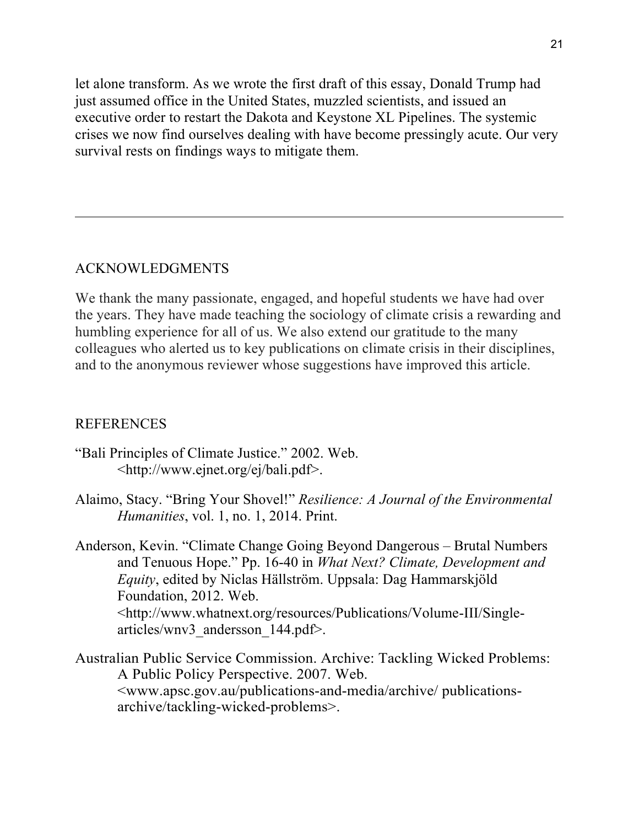let alone transform. As we wrote the first draft of this essay, Donald Trump had just assumed office in the United States, muzzled scientists, and issued an executive order to restart the Dakota and Keystone XL Pipelines. The systemic crises we now find ourselves dealing with have become pressingly acute. Our very survival rests on findings ways to mitigate them.

# ACKNOWLEDGMENTS

We thank the many passionate, engaged, and hopeful students we have had over the years. They have made teaching the sociology of climate crisis a rewarding and humbling experience for all of us. We also extend our gratitude to the many colleagues who alerted us to key publications on climate crisis in their disciplines, and to the anonymous reviewer whose suggestions have improved this article.

## REFERENCES

- "Bali Principles of Climate Justice." 2002. Web. <http://www.ejnet.org/ej/bali.pdf>.
- Alaimo, Stacy. "Bring Your Shovel!" *Resilience: A Journal of the Environmental Humanities*, vol. 1, no. 1, 2014. Print.
- Anderson, Kevin. "Climate Change Going Beyond Dangerous Brutal Numbers and Tenuous Hope." Pp. 16-40 in *What Next? Climate, Development and Equity*, edited by Niclas Hällström. Uppsala: Dag Hammarskjöld Foundation, 2012. Web. <http://www.whatnext.org/resources/Publications/Volume-III/Singlearticles/wnv3\_andersson\_144.pdf>.
- Australian Public Service Commission. Archive: Tackling Wicked Problems: A Public Policy Perspective. 2007. Web. <www.apsc.gov.au/publications-and-media/archive/ publicationsarchive/tackling-wicked-problems>.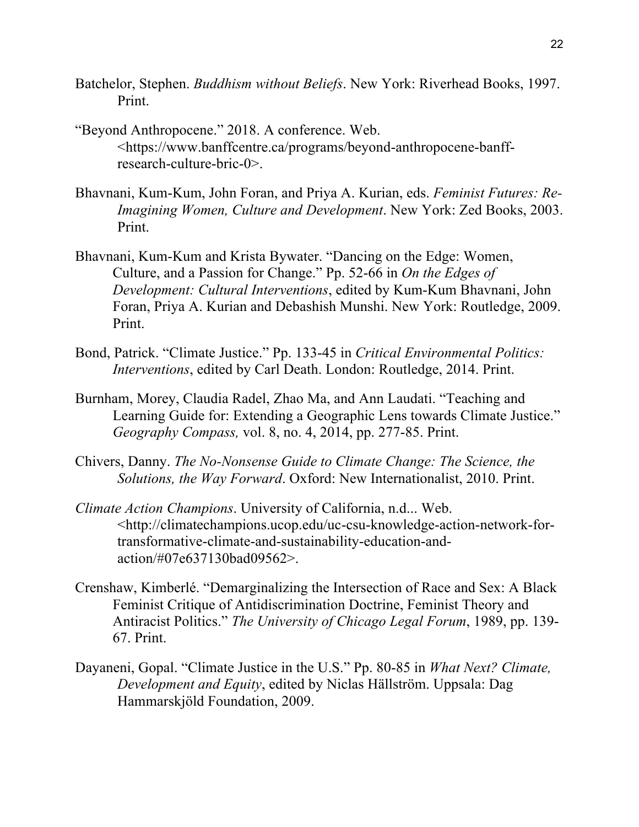- Batchelor, Stephen. *Buddhism without Beliefs*. New York: Riverhead Books, 1997. Print.
- "Beyond Anthropocene." 2018. A conference. Web. <https://www.banffcentre.ca/programs/beyond-anthropocene-banffresearch-culture-bric-0>.
- Bhavnani, Kum-Kum, John Foran, and Priya A. Kurian, eds. *Feminist Futures: Re-Imagining Women, Culture and Development*. New York: Zed Books, 2003. Print.
- Bhavnani, Kum-Kum and Krista Bywater. "Dancing on the Edge: Women, Culture, and a Passion for Change." Pp. 52-66 in *On the Edges of Development: Cultural Interventions*, edited by Kum-Kum Bhavnani, John Foran, Priya A. Kurian and Debashish Munshi. New York: Routledge, 2009. Print.
- Bond, Patrick. "Climate Justice." Pp. 133-45 in *Critical Environmental Politics: Interventions*, edited by Carl Death. London: Routledge, 2014. Print.
- Burnham, Morey, Claudia Radel, Zhao Ma, and Ann Laudati. "Teaching and Learning Guide for: Extending a Geographic Lens towards Climate Justice." *Geography Compass,* vol. 8, no. 4, 2014, pp. 277-85. Print.
- Chivers, Danny. *The No-Nonsense Guide to Climate Change: The Science, the Solutions, the Way Forward*. Oxford: New Internationalist, 2010. Print.
- *Climate Action Champions*. University of California, n.d... Web. <http://climatechampions.ucop.edu/uc-csu-knowledge-action-network-fortransformative-climate-and-sustainability-education-andaction/#07e637130bad09562>.
- Crenshaw, Kimberlé. "Demarginalizing the Intersection of Race and Sex: A Black Feminist Critique of Antidiscrimination Doctrine, Feminist Theory and Antiracist Politics." *The University of Chicago Legal Forum*, 1989, pp. 139- 67. Print.
- Dayaneni, Gopal. "Climate Justice in the U.S." Pp. 80-85 in *What Next? Climate, Development and Equity*, edited by Niclas Hällström. Uppsala: Dag Hammarskjöld Foundation, 2009.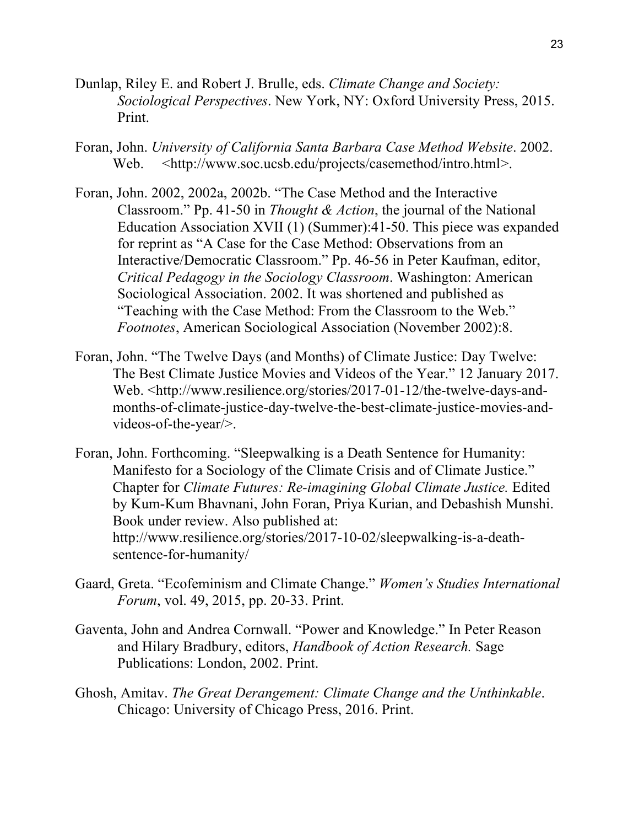- Dunlap, Riley E. and Robert J. Brulle, eds. *Climate Change and Society: Sociological Perspectives*. New York, NY: Oxford University Press, 2015. Print.
- Foran, John. *University of California Santa Barbara Case Method Website*. 2002. Web. <http://www.soc.ucsb.edu/projects/casemethod/intro.html>.
- Foran, John. 2002, 2002a, 2002b. "The Case Method and the Interactive Classroom." Pp. 41-50 in *Thought & Action*, the journal of the National Education Association XVII (1) (Summer):41-50. This piece was expanded for reprint as "A Case for the Case Method: Observations from an Interactive/Democratic Classroom." Pp. 46-56 in Peter Kaufman, editor, *Critical Pedagogy in the Sociology Classroom*. Washington: American Sociological Association. 2002. It was shortened and published as "Teaching with the Case Method: From the Classroom to the Web." *Footnotes*, American Sociological Association (November 2002):8.
- Foran, John. "The Twelve Days (and Months) of Climate Justice: Day Twelve: The Best Climate Justice Movies and Videos of the Year." 12 January 2017. Web. <http://www.resilience.org/stories/2017-01-12/the-twelve-days-andmonths-of-climate-justice-day-twelve-the-best-climate-justice-movies-andvideos-of-the-year/>.
- Foran, John. Forthcoming. "Sleepwalking is a Death Sentence for Humanity: Manifesto for a Sociology of the Climate Crisis and of Climate Justice." Chapter for *Climate Futures: Re-imagining Global Climate Justice.* Edited by Kum-Kum Bhavnani, John Foran, Priya Kurian, and Debashish Munshi. Book under review. Also published at: http://www.resilience.org/stories/2017-10-02/sleepwalking-is-a-deathsentence-for-humanity/
- Gaard, Greta. "Ecofeminism and Climate Change." *Women's Studies International Forum*, vol. 49, 2015, pp. 20-33. Print.
- Gaventa, John and Andrea Cornwall. "Power and Knowledge." In Peter Reason and Hilary Bradbury, editors, *Handbook of Action Research.* Sage Publications: London, 2002. Print.
- Ghosh, Amitav. *The Great Derangement: Climate Change and the Unthinkable*. Chicago: University of Chicago Press, 2016. Print.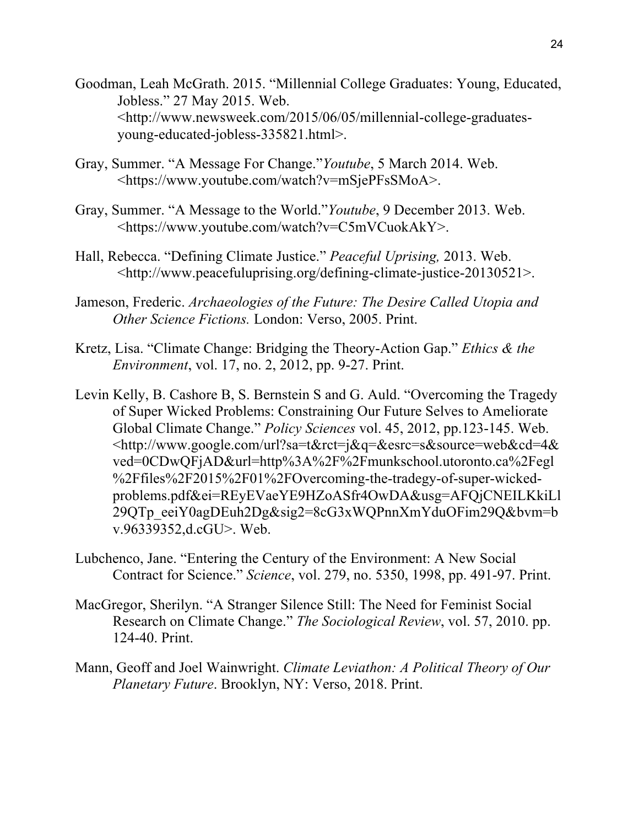- Goodman, Leah McGrath. 2015. "Millennial College Graduates: Young, Educated, Jobless." 27 May 2015. Web. <http://www.newsweek.com/2015/06/05/millennial-college-graduatesyoung-educated-jobless-335821.html>.
- Gray, Summer. "A Message For Change."*Youtube*, 5 March 2014. Web. <https://www.youtube.com/watch?v=mSjePFsSMoA>.
- Gray, Summer. "A Message to the World."*Youtube*, 9 December 2013. Web. <https://www.youtube.com/watch?v=C5mVCuokAkY>.
- Hall, Rebecca. "Defining Climate Justice." *Peaceful Uprising,* 2013. Web. <http://www.peacefuluprising.org/defining-climate-justice-20130521>.
- Jameson, Frederic. *Archaeologies of the Future: The Desire Called Utopia and Other Science Fictions.* London: Verso, 2005. Print.
- Kretz, Lisa. "Climate Change: Bridging the Theory-Action Gap." *Ethics & the Environment*, vol. 17, no. 2, 2012, pp. 9-27. Print.
- Levin Kelly, B. Cashore B, S. Bernstein S and G. Auld. "Overcoming the Tragedy of Super Wicked Problems: Constraining Our Future Selves to Ameliorate Global Climate Change." *Policy Sciences* vol. 45, 2012, pp.123-145. Web. <http://www.google.com/url?sa=t&rct=j&q=&esrc=s&source=web&cd=4& ved=0CDwQFjAD&url=http%3A%2F%2Fmunkschool.utoronto.ca%2Fegl %2Ffiles%2F2015%2F01%2FOvercoming-the-tradegy-of-super-wickedproblems.pdf&ei=REyEVaeYE9HZoASfr4OwDA&usg=AFQjCNEILKkiLl 29QTp\_eeiY0agDEuh2Dg&sig2=8cG3xWQPnnXmYduOFim29Q&bvm=b v.96339352,d.cGU>. Web.
- Lubchenco, Jane. "Entering the Century of the Environment: A New Social Contract for Science." *Science*, vol. 279, no. 5350, 1998, pp. 491-97. Print.
- MacGregor, Sherilyn. "A Stranger Silence Still: The Need for Feminist Social Research on Climate Change." *The Sociological Review*, vol. 57, 2010. pp. 124-40. Print.
- Mann, Geoff and Joel Wainwright. *Climate Leviathon: A Political Theory of Our Planetary Future*. Brooklyn, NY: Verso, 2018. Print.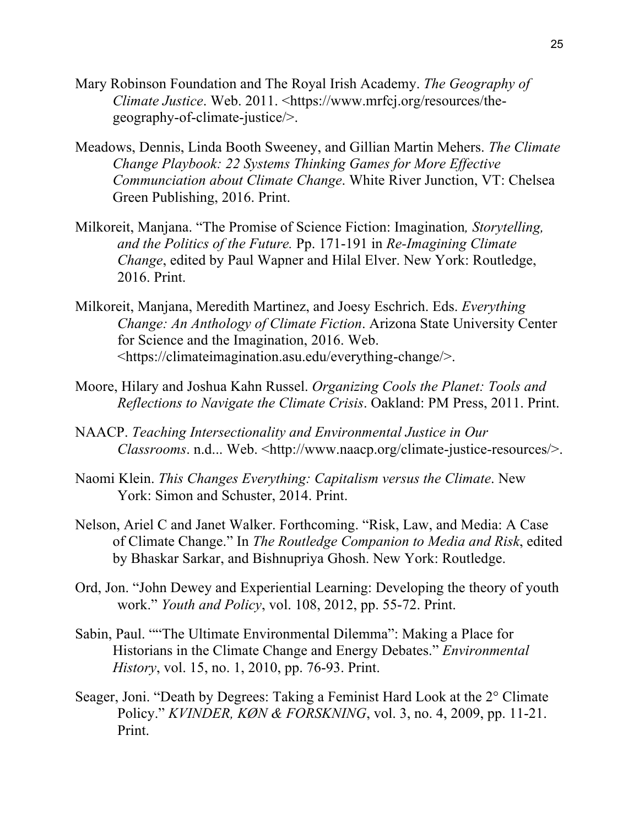- Mary Robinson Foundation and The Royal Irish Academy. *The Geography of Climate Justice*. Web. 2011. <https://www.mrfcj.org/resources/thegeography-of-climate-justice/>.
- Meadows, Dennis, Linda Booth Sweeney, and Gillian Martin Mehers. *The Climate Change Playbook: 22 Systems Thinking Games for More Effective Communciation about Climate Change*. White River Junction, VT: Chelsea Green Publishing, 2016. Print.
- Milkoreit, Manjana. "The Promise of Science Fiction: Imagination*, Storytelling, and the Politics of the Future.* Pp. 171-191 in *Re-Imagining Climate Change*, edited by Paul Wapner and Hilal Elver. New York: Routledge, 2016. Print.
- Milkoreit, Manjana, Meredith Martinez, and Joesy Eschrich. Eds. *Everything Change: An Anthology of Climate Fiction*. Arizona State University Center for Science and the Imagination, 2016. Web. <https://climateimagination.asu.edu/everything-change/>.
- Moore, Hilary and Joshua Kahn Russel. *Organizing Cools the Planet: Tools and Reflections to Navigate the Climate Crisis*. Oakland: PM Press, 2011. Print.
- NAACP. *Teaching Intersectionality and Environmental Justice in Our Classrooms*. n.d... Web. <http://www.naacp.org/climate-justice-resources/>.
- Naomi Klein. *This Changes Everything: Capitalism versus the Climate*. New York: Simon and Schuster, 2014. Print.
- Nelson, Ariel C and Janet Walker. Forthcoming. "Risk, Law, and Media: A Case of Climate Change." In *The Routledge Companion to Media and Risk*, edited by Bhaskar Sarkar, and Bishnupriya Ghosh. New York: Routledge.
- Ord, Jon. "John Dewey and Experiential Learning: Developing the theory of youth work." *Youth and Policy*, vol. 108, 2012, pp. 55-72. Print.
- Sabin, Paul. ""The Ultimate Environmental Dilemma": Making a Place for Historians in the Climate Change and Energy Debates." *Environmental History*, vol. 15, no. 1, 2010, pp. 76-93. Print.
- Seager, Joni. "Death by Degrees: Taking a Feminist Hard Look at the 2° Climate Policy." *KVINDER, KØN & FORSKNING*, vol. 3, no. 4, 2009, pp. 11-21. Print.